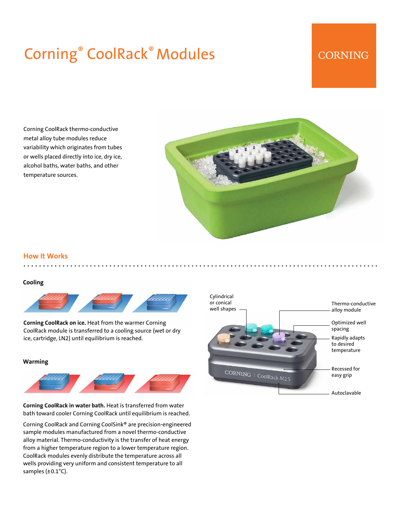# Corning® CoolRack® Modules

# **CORNING**

Corning CoolRack thermo-conductive metal alloy tube modules reduce variability which originates from tubes or wells placed directly into ice, dry ice, alcohol baths, water baths, and other temperature sources.



#### **How It Works**

#### **Cooling**



**Corning CoolRack on ice.** Heat from the warmer Corning CoolRack module is transferred to a cooling source (wet or dry ice, cartridge, LN2) until equilibrium is reached.

#### **Warming**



**Corning CoolRack in water bath.** Heat is transferred from water bath toward cooler Corning CoolRack until equilibrium is reached.

Corning CoolRack and Corning CoolSink® are precision-engineered sample modules manufactured from a novel thermo-conductive alloy material. Thermo-conductivity is the transfer of heat energy from a higher temperature region to a lower temperature region. CoolRack modules evenly distribute the temperature across all wells providing very uniform and consistent temperature to all samples (±0.1°C).

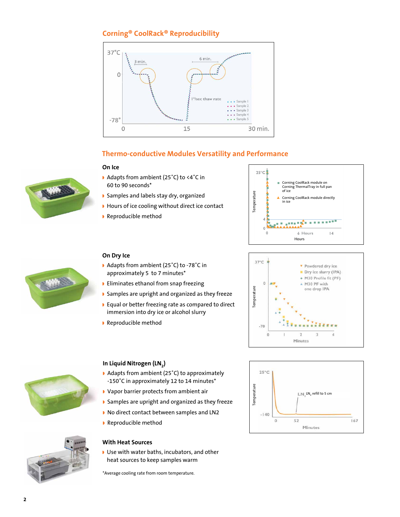# **Corning® CoolRack® Reproducibility**



## **Thermo-conductive Modules Versatility and Performance**

#### **On Ice**

**On Dry Ice**



◗ Samples and labels stay dry, organized

◗ Adapts from ambient (25˚C) to -78˚C in approximately 5 to 7 minutes\* ◗ Eliminates ethanol from snap freezing

immersion into dry ice or alcohol slurry

◗ Samples are upright and organized as they freeze ◗ Equal or better freezing rate as compared to direct

- ◗ Hours of ice cooling without direct ice contact
- ◗ Reproducible method











### **In Liquid Nitrogen (LN2)**

◗ Reproducible method

- ◗ Adapts from ambient (25˚C) to approximately -150˚C in approximately 12 to 14 minutes\*
- ◗ Vapor barrier protects from ambient air
- ◗ Samples are upright and organized as they freeze
- ◗ No direct contact between samples and LN2
- ◗ Reproducible method

#### **With Heat Sources**

◗ Use with water baths, incubators, and other heat sources to keep samples warm

\*Average cooling rate from room temperature.



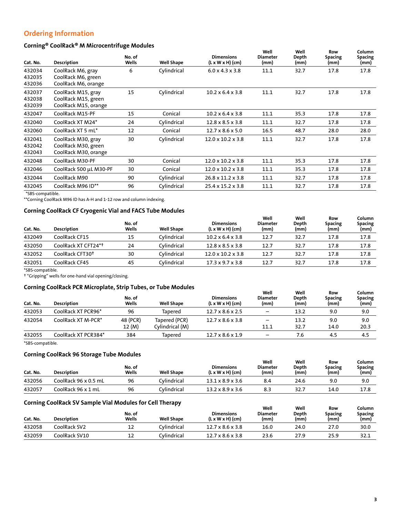# **Ordering Information**

#### **Corning® CoolRack® M Microcentrifuge Modules**

| Description                                                       | No. of<br>Wells | <b>Well Shape</b> | <b>Dimensions</b><br>$(L \times W \times H)$ (cm) | Well<br><b>Diameter</b><br>(mm) | Well<br>Depth<br>(mm) | Row<br>Spacing<br>(mm) | Column<br><b>Spacing</b><br>(mm) |
|-------------------------------------------------------------------|-----------------|-------------------|---------------------------------------------------|---------------------------------|-----------------------|------------------------|----------------------------------|
| CoolRack M6, gray<br>CoolRack M6, green<br>CoolRack M6, orange    | 6               | Cylindrical       | $6.0 \times 4.3 \times 3.8$                       | 11.1                            | 32.7                  | 17.8                   | 17.8                             |
| CoolRack M15, gray<br>CoolRack M15, green<br>CoolRack M15, orange | 15              | Cylindrical       | $10.2 \times 6.4 \times 3.8$                      | 11.1                            | 32.7                  | 17.8                   | 17.8                             |
| CoolRack M15-PF                                                   | 15              | Conical           | $10.2 \times 6.4 \times 3.8$                      | 11.1                            | 35.3                  | 17.8                   | 17.8                             |
| CoolRack XT M24*                                                  | 24              | Cylindrical       | $12.8 \times 8.5 \times 3.8$                      | 11.1                            | 32.7                  | 17.8                   | 17.8                             |
| CoolRack XT 5 mL*                                                 | 12              | Conical           | $12.7 \times 8.6 \times 5.0$                      | 16.5                            | 48.7                  | 28.0                   | 28.0                             |
| CoolRack M30, gray<br>CoolRack M30, green<br>CoolRack M30, orange | 30              | Cylindrical       | $12.0 \times 10.2 \times 3.8$                     | 11.1                            | 32.7                  | 17.8                   | 17.8                             |
| CoolRack M30-PF                                                   | 30              | Conical           | $12.0 \times 10.2 \times 3.8$                     | 11.1                            | 35.3                  | 17.8                   | 17.8                             |
| CoolRack 500 µL M30-PF                                            | 30              | Conical           | $12.0 \times 10.2 \times 3.8$                     | 11.1                            | 35.3                  | 17.8                   | 17.8                             |
| CoolRack M90                                                      | 90              | Cylindrical       | $26.8 \times 11.2 \times 3.8$                     | 11.1                            | 32.7                  | 17.8                   | 17.8                             |
| CoolRack M96 ID**                                                 | 96              | Cylindrical       | $25.4 \times 15.2 \times 3.8$                     | 11.1                            | 32.7                  | 17.8                   | 17.8                             |
|                                                                   |                 |                   |                                                   |                                 |                       |                        |                                  |

\*SBS-compatible.

\*\*Corning CoolRack M96 ID has A-H and 1-12 row and column indexing.

#### **Corning CoolRack CF Cryogenic Vial and FACS Tube Modules**

| Cat. No. | <b>Description</b>          | No. of<br>Wells | <b>Well Shape</b> | <b>Dimensions</b><br>$(L \times W \times H)$ (cm) | Well<br><b>Diameter</b><br>(mm) | Well<br>Depth<br>(mm) | Row<br><b>Spacing</b><br>(mm) | Column<br><b>Spacing</b><br>(mm) |
|----------|-----------------------------|-----------------|-------------------|---------------------------------------------------|---------------------------------|-----------------------|-------------------------------|----------------------------------|
| 432049   | CoolRack CF15               | 15              | Cylindrical       | $10.2 \times 6.4 \times 3.8$                      | 12.7                            | 32.7                  | 17.8                          | 17.8                             |
| 432050   | CoolRack XT CFT24*†         | 24              | Cylindrical       | $12.8 \times 8.5 \times 3.8$                      | 12.7                            | 32.7                  | 17.8                          | 17.8                             |
| 432052   | CoolRack CFT30 <sup>+</sup> | 30              | Cylindrical       | $12.0 \times 10.2 \times 3.8$                     | 12.7                            | 32.7                  | 17.8                          | 17.8                             |
| 432051   | CoolRack CF45               | 45              | Cylindrical       | $17.3 \times 9.7 \times 3.8$                      | 12.7                            | 32.7                  | 17.8                          | 17.8                             |

\*SBS-compatible.

† "Gripping" wells for one-hand vial opening/closing.

#### **Corning CoolRack PCR Microplate, Strip Tubes, or Tube Modules**

| Cat. No. | <b>Description</b>  | No. of<br>Wells    | <b>Well Shape</b>                | <b>Dimensions</b><br>$(L \times W \times H)$ (cm) | Well<br><b>Diameter</b><br>(mm) | Well<br>Depth<br>(mm) | Row<br><b>Spacing</b><br>(mm) | Column<br>Spacing<br>(mm) |
|----------|---------------------|--------------------|----------------------------------|---------------------------------------------------|---------------------------------|-----------------------|-------------------------------|---------------------------|
| 432053   | CoolRack XT PCR96*  | 96                 | Tapered                          | $12.7 \times 8.6 \times 2.5$                      | $\overline{\phantom{0}}$        | 13.2                  | 9.0                           | 9.0                       |
| 432054   | CoolRack XT M-PCR*  | 48 (PCR)<br>12 (M) | Tapered (PCR)<br>Cylindrical (M) | $12.7 \times 8.6 \times 3.8$                      | -<br>11.1                       | 13.2<br>32.7          | 9.0<br>14.0                   | 9.0<br>20.3               |
| 432055   | CoolRack XT PCR384* | 384                | Tapered                          | $12.7 \times 8.6 \times 1.9$                      | $\overline{\phantom{0}}$        | 7.6                   | 4.5                           | 4.5                       |

\*SBS-compatible.

#### **Corning CoolRack 96 Storage Tube Modules**

| Cat. No. | <b>Description</b>   | No. of<br>Wells | <b>Well Shape</b> | <b>Dimensions</b><br>$(L \times W \times H)$ (cm) | Well<br>Diameter<br>(mm) | Well<br>Depth<br>(mm) | Row<br><b>Spacing</b><br>(mm) | Column<br>Spacing<br>(mm) |
|----------|----------------------|-----------------|-------------------|---------------------------------------------------|--------------------------|-----------------------|-------------------------------|---------------------------|
| 432056   | CoolRack 96 x 0.5 mL | 96              | Cylindrical       | $13.1 \times 8.9 \times 3.6$                      | 8.4                      | 24.6                  | 9.0                           | 9.0                       |
| 432057   | CoolRack 96 x 1 mL   | 96              | Cvlindrical       | $13.2 \times 8.9 \times 3.6$                      | 8.3                      | 32.7                  | 14.0                          | 17.8                      |

#### **Corning CoolRack SV Sample Vial Modules for Cell Therapy**

| Cat. No. | <b>Description</b> | No. of<br>Wells | ---<br><b>Well Shape</b> | <b>Dimensions</b><br>$(L \times W \times H)$ (cm) | Well<br>Diameter<br>(mm) | Well<br>Depth<br>(mm) | Row<br><b>Spacing</b><br>(mm) | Column<br>Spacing<br>(mm) |
|----------|--------------------|-----------------|--------------------------|---------------------------------------------------|--------------------------|-----------------------|-------------------------------|---------------------------|
| 432058   | CoolRack SV2       | ᅩ               | Cvlindrical              | $12.7 \times 8.6 \times 3.8$                      | 16.0                     | 24.0                  | 27.0                          | 30.0                      |
| 432059   | CoolRack SV10      | ᅩ               | Cvlindrical              | $12.7 \times 8.6 \times 3.8$                      | 23.6                     | 27.9                  | 25.9                          | 32.1                      |